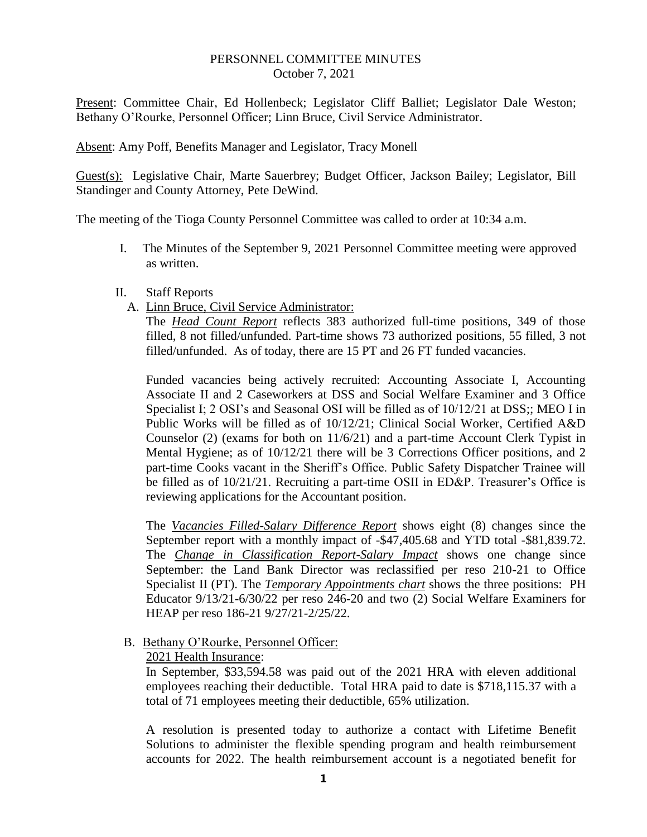### PERSONNEL COMMITTEE MINUTES October 7, 2021

Present: Committee Chair, Ed Hollenbeck; Legislator Cliff Balliet; Legislator Dale Weston; Bethany O'Rourke, Personnel Officer; Linn Bruce, Civil Service Administrator.

Absent: Amy Poff, Benefits Manager and Legislator, Tracy Monell

Guest(s): Legislative Chair, Marte Sauerbrey; Budget Officer, Jackson Bailey; Legislator, Bill Standinger and County Attorney, Pete DeWind.

The meeting of the Tioga County Personnel Committee was called to order at 10:34 a.m.

- I. The Minutes of the September 9, 2021 Personnel Committee meeting were approved as written.
- II. Staff Reports
	- A. Linn Bruce, Civil Service Administrator:

The *Head Count Report* reflects 383 authorized full-time positions, 349 of those filled, 8 not filled/unfunded. Part-time shows 73 authorized positions, 55 filled, 3 not filled/unfunded. As of today, there are 15 PT and 26 FT funded vacancies.

Funded vacancies being actively recruited: Accounting Associate I, Accounting Associate II and 2 Caseworkers at DSS and Social Welfare Examiner and 3 Office Specialist I; 2 OSI's and Seasonal OSI will be filled as of  $10/12/21$  at DSS;; MEO I in Public Works will be filled as of 10/12/21; Clinical Social Worker, Certified A&D Counselor (2) (exams for both on 11/6/21) and a part-time Account Clerk Typist in Mental Hygiene; as of 10/12/21 there will be 3 Corrections Officer positions, and 2 part-time Cooks vacant in the Sheriff's Office. Public Safety Dispatcher Trainee will be filled as of 10/21/21. Recruiting a part-time OSII in ED&P. Treasurer's Office is reviewing applications for the Accountant position.

The *Vacancies Filled-Salary Difference Report* shows eight (8) changes since the September report with a monthly impact of -\$47,405.68 and YTD total -\$81,839.72. The *Change in Classification Report-Salary Impact* shows one change since September: the Land Bank Director was reclassified per reso 210-21 to Office Specialist II (PT). The *Temporary Appointments chart* shows the three positions: PH Educator 9/13/21-6/30/22 per reso 246-20 and two (2) Social Welfare Examiners for HEAP per reso 186-21 9/27/21-2/25/22.

B. Bethany O'Rourke, Personnel Officer:

2021 Health Insurance:

In September, \$33,594.58 was paid out of the 2021 HRA with eleven additional employees reaching their deductible. Total HRA paid to date is \$718,115.37 with a total of 71 employees meeting their deductible, 65% utilization.

A resolution is presented today to authorize a contact with Lifetime Benefit Solutions to administer the flexible spending program and health reimbursement accounts for 2022. The health reimbursement account is a negotiated benefit for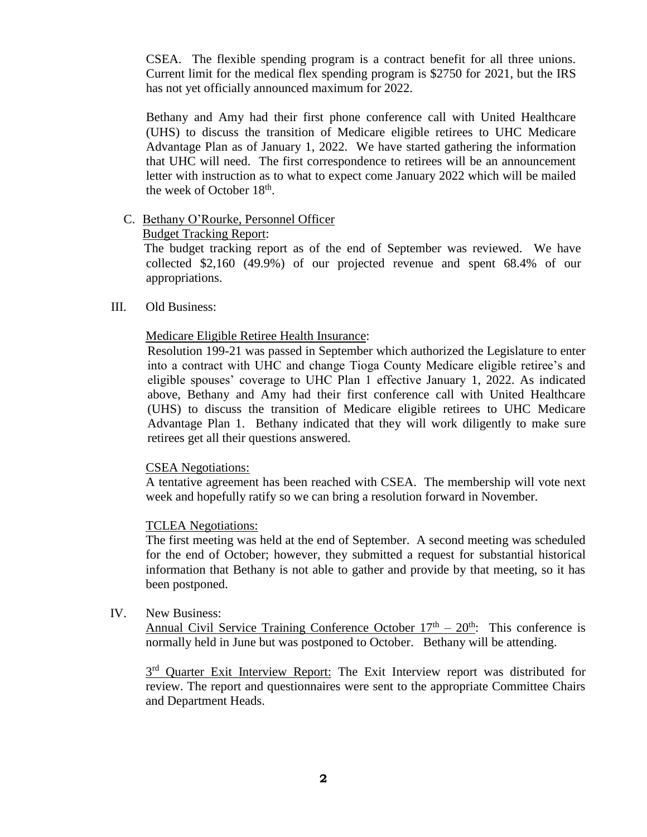CSEA. The flexible spending program is a contract benefit for all three unions. Current limit for the medical flex spending program is \$2750 for 2021, but the IRS has not yet officially announced maximum for 2022.

Bethany and Amy had their first phone conference call with United Healthcare (UHS) to discuss the transition of Medicare eligible retirees to UHC Medicare Advantage Plan as of January 1, 2022. We have started gathering the information that UHC will need. The first correspondence to retirees will be an announcement letter with instruction as to what to expect come January 2022 which will be mailed the week of October 18<sup>th</sup>.

# C. Bethany O'Rourke, Personnel Officer

# Budget Tracking Report:

 The budget tracking report as of the end of September was reviewed. We have collected \$2,160 (49.9%) of our projected revenue and spent 68.4% of our appropriations.

## III. Old Business:

# Medicare Eligible Retiree Health Insurance:

Resolution 199-21 was passed in September which authorized the Legislature to enter into a contract with UHC and change Tioga County Medicare eligible retiree's and eligible spouses' coverage to UHC Plan 1 effective January 1, 2022. As indicated above, Bethany and Amy had their first conference call with United Healthcare (UHS) to discuss the transition of Medicare eligible retirees to UHC Medicare Advantage Plan 1. Bethany indicated that they will work diligently to make sure retirees get all their questions answered.

# CSEA Negotiations:

A tentative agreement has been reached with CSEA. The membership will vote next week and hopefully ratify so we can bring a resolution forward in November.

# TCLEA Negotiations:

The first meeting was held at the end of September. A second meeting was scheduled for the end of October; however, they submitted a request for substantial historical information that Bethany is not able to gather and provide by that meeting, so it has been postponed.

IV. New Business:

Annual Civil Service Training Conference October  $17<sup>th</sup> - 20<sup>th</sup>$ . This conference is normally held in June but was postponed to October. Bethany will be attending.

3<sup>rd</sup> Quarter Exit Interview Report: The Exit Interview report was distributed for review. The report and questionnaires were sent to the appropriate Committee Chairs and Department Heads.